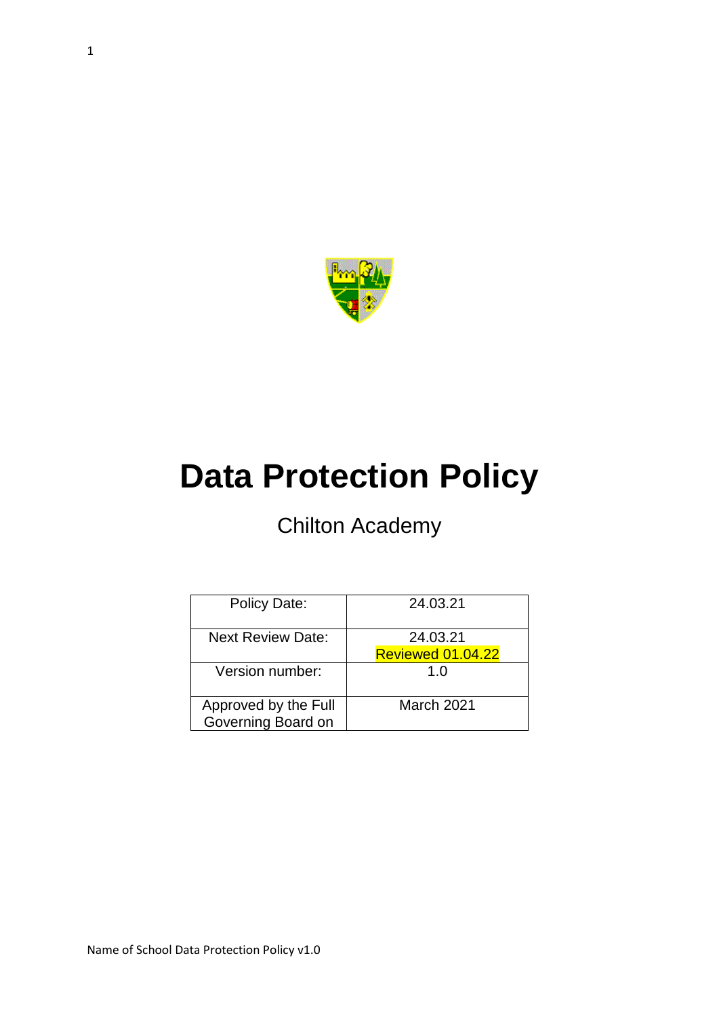

# **Data Protection Policy**

# Chilton Academy

| Policy Date:                               | 24.03.21                             |
|--------------------------------------------|--------------------------------------|
| <b>Next Review Date:</b>                   | 24.03.21<br><b>Reviewed 01.04.22</b> |
| Version number:                            | 1.0                                  |
| Approved by the Full<br>Governing Board on | March 2021                           |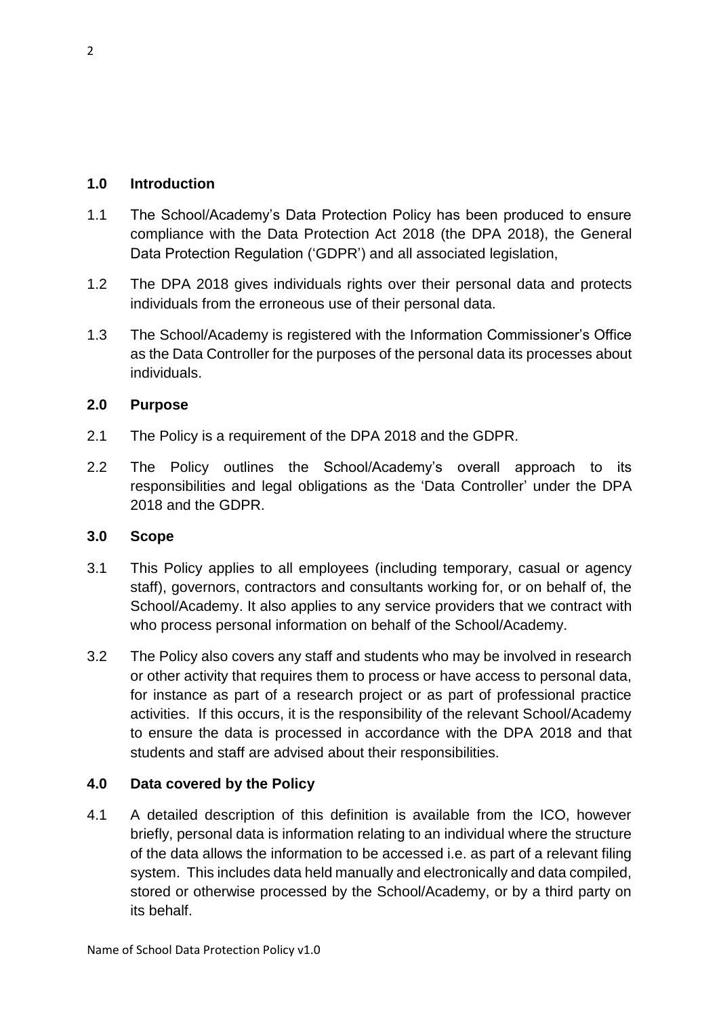#### **1.0 Introduction**

- 1.1 The School/Academy's Data Protection Policy has been produced to ensure compliance with the Data Protection Act 2018 (the DPA 2018), the General Data Protection Regulation ('GDPR') and all associated legislation,
- 1.2 The DPA 2018 gives individuals rights over their personal data and protects individuals from the erroneous use of their personal data.
- 1.3 The School/Academy is registered with the Information Commissioner's Office as the Data Controller for the purposes of the personal data its processes about individuals.

#### **2.0 Purpose**

- 2.1 The Policy is a requirement of the DPA 2018 and the GDPR.
- 2.2 The Policy outlines the School/Academy's overall approach to its responsibilities and legal obligations as the 'Data Controller' under the DPA 2018 and the GDPR.

#### **3.0 Scope**

- 3.1 This Policy applies to all employees (including temporary, casual or agency staff), governors, contractors and consultants working for, or on behalf of, the School/Academy. It also applies to any service providers that we contract with who process personal information on behalf of the School/Academy.
- 3.2 The Policy also covers any staff and students who may be involved in research or other activity that requires them to process or have access to personal data, for instance as part of a research project or as part of professional practice activities. If this occurs, it is the responsibility of the relevant School/Academy to ensure the data is processed in accordance with the DPA 2018 and that students and staff are advised about their responsibilities.

## **4.0 Data covered by the Policy**

4.1 A detailed description of this definition is available from the ICO, however briefly, personal data is information relating to an individual where the structure of the data allows the information to be accessed i.e. as part of a relevant filing system. This includes data held manually and electronically and data compiled, stored or otherwise processed by the School/Academy, or by a third party on its behalf.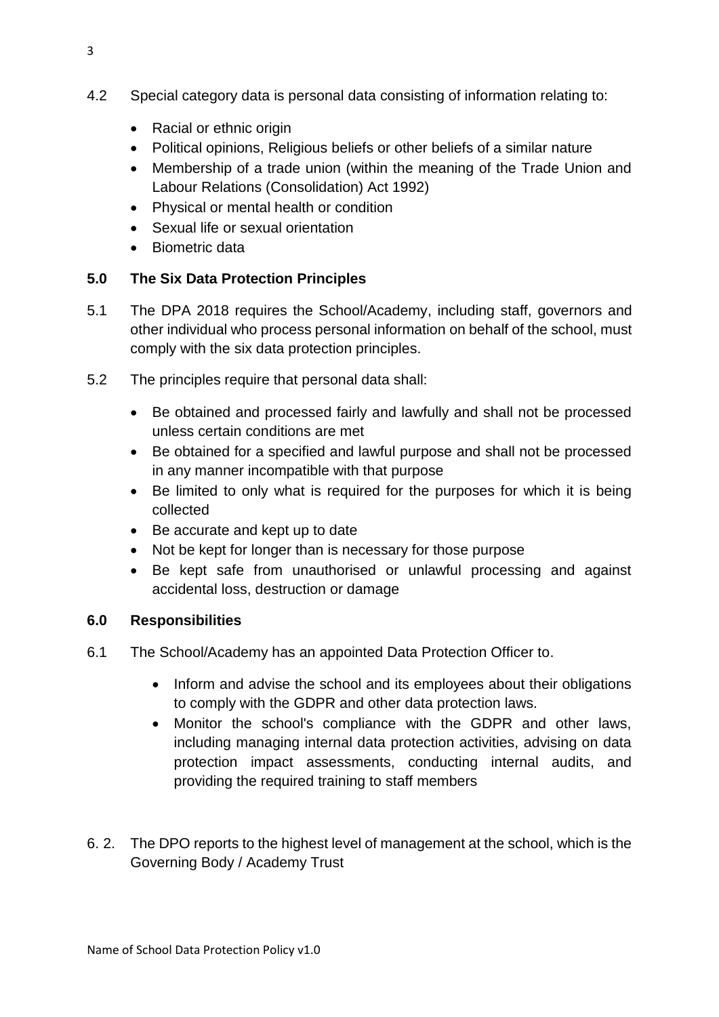- 4.2 Special category data is personal data consisting of information relating to:
	- Racial or ethnic origin
	- Political opinions, Religious beliefs or other beliefs of a similar nature
	- Membership of a trade union (within the meaning of the Trade Union and Labour Relations (Consolidation) Act 1992)
	- Physical or mental health or condition
	- Sexual life or sexual orientation
	- Biometric data

# **5.0 The Six Data Protection Principles**

- 5.1 The DPA 2018 requires the School/Academy, including staff, governors and other individual who process personal information on behalf of the school, must comply with the six data protection principles.
- 5.2 The principles require that personal data shall:
	- Be obtained and processed fairly and lawfully and shall not be processed unless certain conditions are met
	- Be obtained for a specified and lawful purpose and shall not be processed in any manner incompatible with that purpose
	- Be limited to only what is required for the purposes for which it is being collected
	- Be accurate and kept up to date
	- Not be kept for longer than is necessary for those purpose
	- Be kept safe from unauthorised or unlawful processing and against accidental loss, destruction or damage

## **6.0 Responsibilities**

- 6.1 The School/Academy has an appointed Data Protection Officer to.
	- Inform and advise the school and its employees about their obligations to comply with the GDPR and other data protection laws.
	- Monitor the school's compliance with the GDPR and other laws, including managing internal data protection activities, advising on data protection impact assessments, conducting internal audits, and providing the required training to staff members
- 6. 2. The DPO reports to the highest level of management at the school, which is the Governing Body / Academy Trust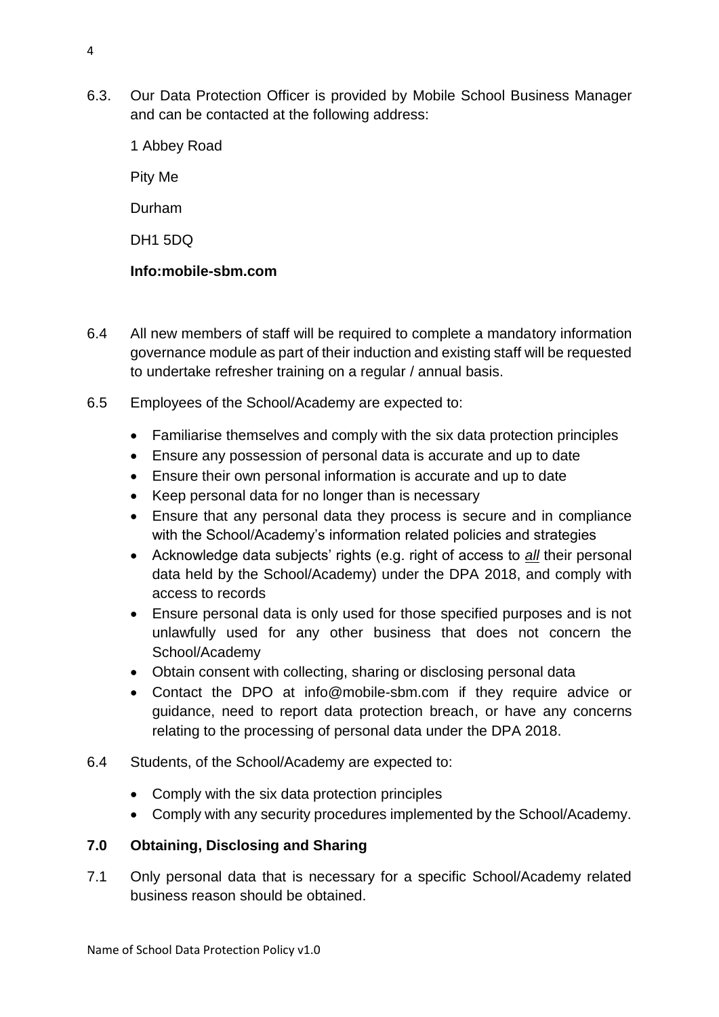6.3. Our Data Protection Officer is provided by Mobile School Business Manager and can be contacted at the following address:

1 Abbey Road Pity Me Durham DH1 5DQ **Info:mobile-sbm.com**

- 6.4 All new members of staff will be required to complete a mandatory information governance module as part of their induction and existing staff will be requested
	- 6.5 Employees of the School/Academy are expected to:

to undertake refresher training on a regular / annual basis.

- Familiarise themselves and comply with the six data protection principles
- Ensure any possession of personal data is accurate and up to date
- Ensure their own personal information is accurate and up to date
- Keep personal data for no longer than is necessary
- Ensure that any personal data they process is secure and in compliance with the School/Academy's information related policies and strategies
- Acknowledge data subjects' rights (e.g. right of access to *all* their personal data held by the School/Academy) under the DPA 2018, and comply with access to records
- Ensure personal data is only used for those specified purposes and is not unlawfully used for any other business that does not concern the School/Academy
- Obtain consent with collecting, sharing or disclosing personal data
- Contact the DPO at info@mobile-sbm.com if they require advice or guidance, need to report data protection breach, or have any concerns relating to the processing of personal data under the DPA 2018.
- 6.4 Students, of the School/Academy are expected to:
	- Comply with the six data protection principles
	- Comply with any security procedures implemented by the School/Academy.

## **7.0 Obtaining, Disclosing and Sharing**

7.1 Only personal data that is necessary for a specific School/Academy related business reason should be obtained.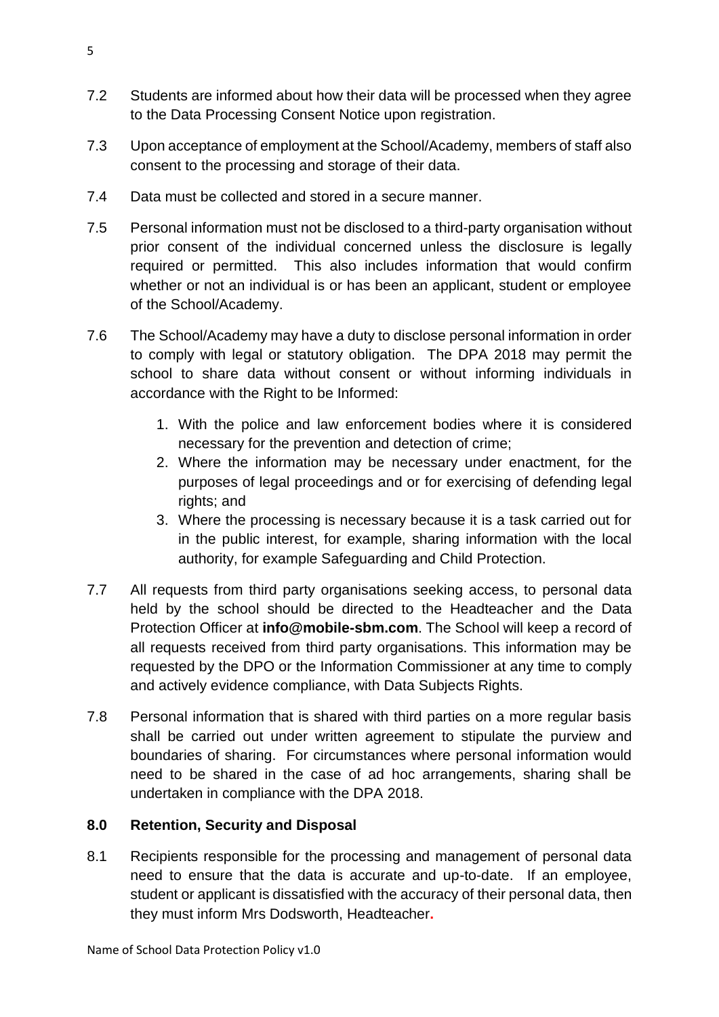- 7.2 Students are informed about how their data will be processed when they agree to the Data Processing Consent Notice upon registration.
- 7.3 Upon acceptance of employment at the School/Academy, members of staff also consent to the processing and storage of their data.
- 7.4 Data must be collected and stored in a secure manner.
- 7.5 Personal information must not be disclosed to a third-party organisation without prior consent of the individual concerned unless the disclosure is legally required or permitted. This also includes information that would confirm whether or not an individual is or has been an applicant, student or employee of the School/Academy.
- 7.6 The School/Academy may have a duty to disclose personal information in order to comply with legal or statutory obligation. The DPA 2018 may permit the school to share data without consent or without informing individuals in accordance with the Right to be Informed:
	- 1. With the police and law enforcement bodies where it is considered necessary for the prevention and detection of crime;
	- 2. Where the information may be necessary under enactment, for the purposes of legal proceedings and or for exercising of defending legal rights; and
	- 3. Where the processing is necessary because it is a task carried out for in the public interest, for example, sharing information with the local authority, for example Safeguarding and Child Protection.
- 7.7 All requests from third party organisations seeking access, to personal data held by the school should be directed to the Headteacher and the Data Protection Officer at **info@mobile-sbm.com**. The School will keep a record of all requests received from third party organisations. This information may be requested by the DPO or the Information Commissioner at any time to comply and actively evidence compliance, with Data Subjects Rights.
- 7.8 Personal information that is shared with third parties on a more regular basis shall be carried out under written agreement to stipulate the purview and boundaries of sharing. For circumstances where personal information would need to be shared in the case of ad hoc arrangements, sharing shall be undertaken in compliance with the DPA 2018.

## **8.0 Retention, Security and Disposal**

8.1 Recipients responsible for the processing and management of personal data need to ensure that the data is accurate and up-to-date. If an employee, student or applicant is dissatisfied with the accuracy of their personal data, then they must inform Mrs Dodsworth, Headteacher**.**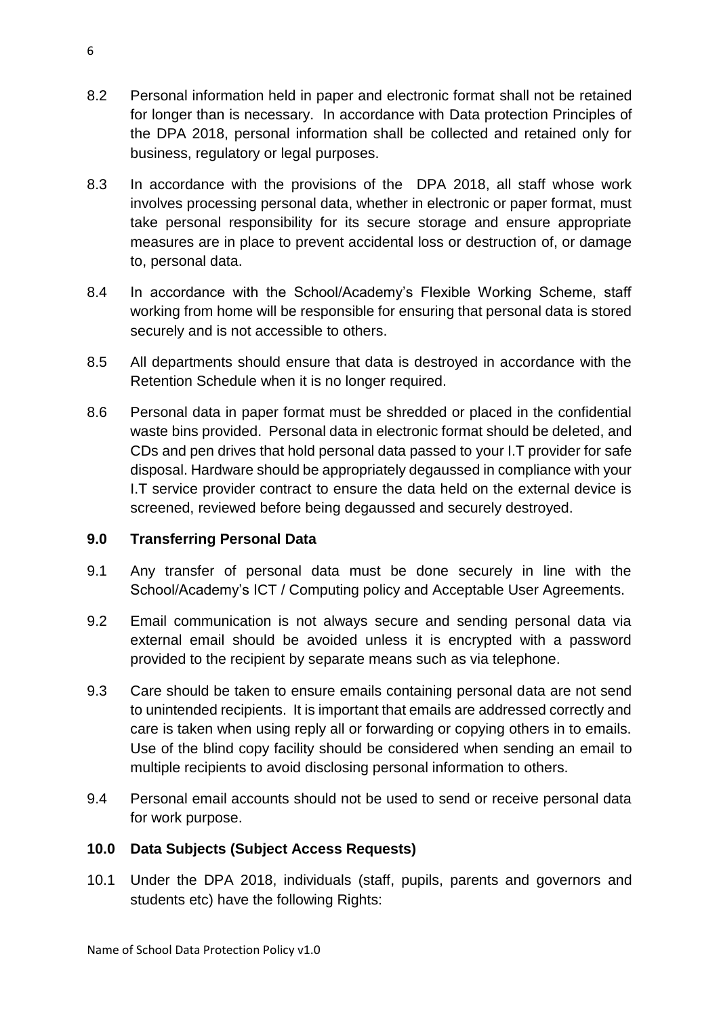- 8.2 Personal information held in paper and electronic format shall not be retained for longer than is necessary. In accordance with Data protection Principles of the DPA 2018, personal information shall be collected and retained only for business, regulatory or legal purposes.
- 8.3 In accordance with the provisions of the DPA 2018, all staff whose work involves processing personal data, whether in electronic or paper format, must take personal responsibility for its secure storage and ensure appropriate measures are in place to prevent accidental loss or destruction of, or damage to, personal data.
- 8.4 In accordance with the School/Academy's Flexible Working Scheme, staff working from home will be responsible for ensuring that personal data is stored securely and is not accessible to others.
- 8.5 All departments should ensure that data is destroyed in accordance with the Retention Schedule when it is no longer required.
- 8.6 Personal data in paper format must be shredded or placed in the confidential waste bins provided. Personal data in electronic format should be deleted, and CDs and pen drives that hold personal data passed to your I.T provider for safe disposal. Hardware should be appropriately degaussed in compliance with your I.T service provider contract to ensure the data held on the external device is screened, reviewed before being degaussed and securely destroyed.

## **9.0 Transferring Personal Data**

- 9.1 Any transfer of personal data must be done securely in line with the School/Academy's ICT / Computing policy and Acceptable User Agreements.
- 9.2 Email communication is not always secure and sending personal data via external email should be avoided unless it is encrypted with a password provided to the recipient by separate means such as via telephone.
- 9.3 Care should be taken to ensure emails containing personal data are not send to unintended recipients. It is important that emails are addressed correctly and care is taken when using reply all or forwarding or copying others in to emails. Use of the blind copy facility should be considered when sending an email to multiple recipients to avoid disclosing personal information to others.
- 9.4 Personal email accounts should not be used to send or receive personal data for work purpose.

## **10.0 Data Subjects (Subject Access Requests)**

10.1 Under the DPA 2018, individuals (staff, pupils, parents and governors and students etc) have the following Rights: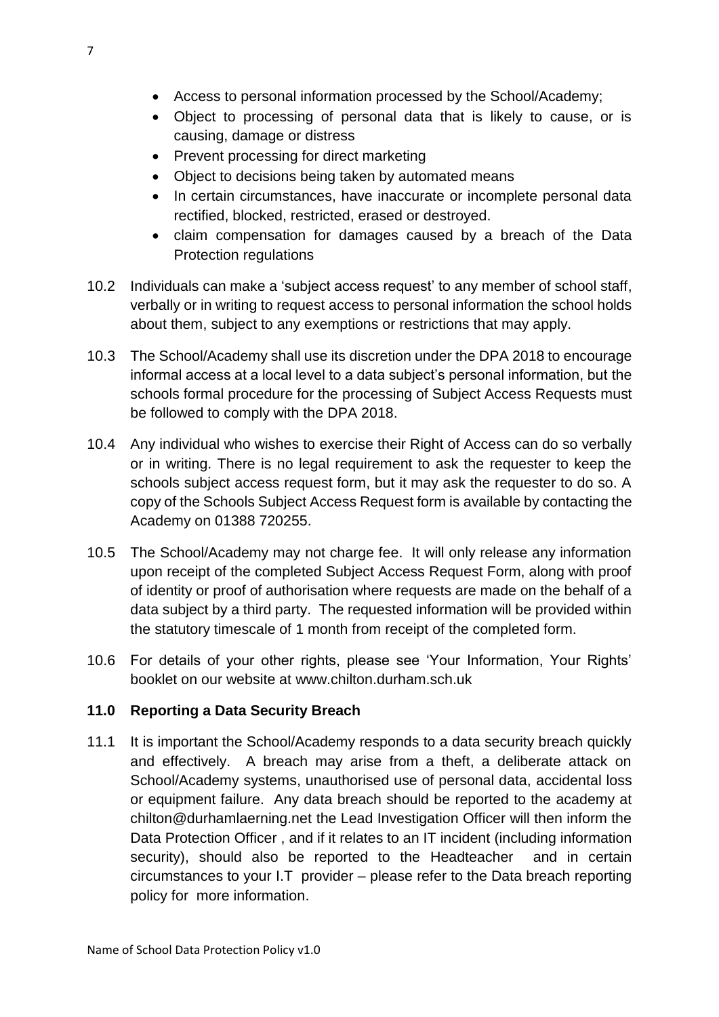- Access to personal information processed by the School/Academy;
- Object to processing of personal data that is likely to cause, or is causing, damage or distress
- Prevent processing for direct marketing
- Object to decisions being taken by automated means
- In certain circumstances, have inaccurate or incomplete personal data rectified, blocked, restricted, erased or destroyed.
- claim compensation for damages caused by a breach of the Data Protection regulations
- 10.2 Individuals can make a 'subject access request' to any member of school staff, verbally or in writing to request access to personal information the school holds about them, subject to any exemptions or restrictions that may apply.
- 10.3 The School/Academy shall use its discretion under the DPA 2018 to encourage informal access at a local level to a data subject's personal information, but the schools formal procedure for the processing of Subject Access Requests must be followed to comply with the DPA 2018.
- 10.4 Any individual who wishes to exercise their Right of Access can do so verbally or in writing. There is no legal requirement to ask the requester to keep the schools subject access request form, but it may ask the requester to do so. A copy of the Schools Subject Access Request form is available by contacting the Academy on 01388 720255.
- 10.5 The School/Academy may not charge fee. It will only release any information upon receipt of the completed Subject Access Request Form, along with proof of identity or proof of authorisation where requests are made on the behalf of a data subject by a third party. The requested information will be provided within the statutory timescale of 1 month from receipt of the completed form.
- 10.6 For details of your other rights, please see 'Your Information, Your Rights' booklet on our website at www.chilton.durham.sch.uk

## **11.0 Reporting a Data Security Breach**

11.1 It is important the School/Academy responds to a data security breach quickly and effectively. A breach may arise from a theft, a deliberate attack on School/Academy systems, unauthorised use of personal data, accidental loss or equipment failure. Any data breach should be reported to the academy at chilton@durhamlaerning.net the Lead Investigation Officer will then inform the Data Protection Officer , and if it relates to an IT incident (including information security), should also be reported to the Headteacher and in certain circumstances to your I.T provider – please refer to the Data breach reporting policy for more information.